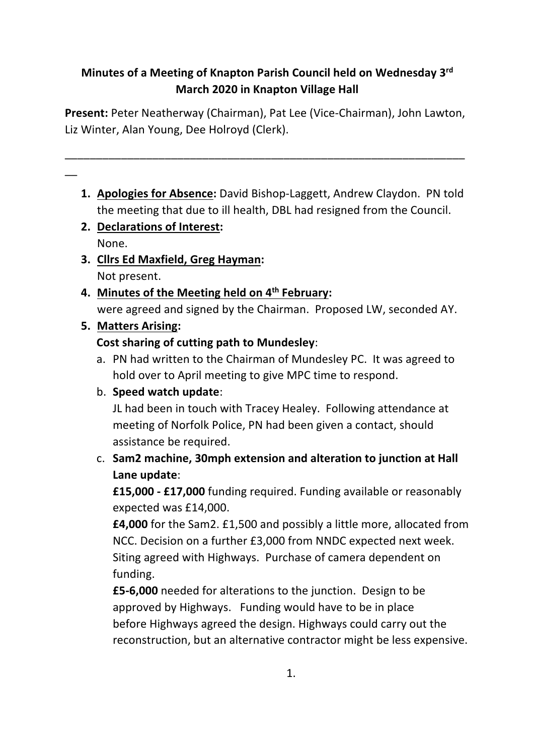## **Minutes of a Meeting of Knapton Parish Council held on Wednesday 3rd March 2020 in Knapton Village Hall**

**Present:** Peter Neatherway (Chairman), Pat Lee (Vice-Chairman), John Lawton, Liz Winter, Alan Young, Dee Holroyd (Clerk).

\_\_\_\_\_\_\_\_\_\_\_\_\_\_\_\_\_\_\_\_\_\_\_\_\_\_\_\_\_\_\_\_\_\_\_\_\_\_\_\_\_\_\_\_\_\_\_\_\_\_\_\_\_\_\_\_\_\_\_\_\_\_\_\_

 $\overline{\phantom{a}}$ 

- **1. Apologies for Absence:** David Bishop-Laggett, Andrew Claydon. PN told the meeting that due to ill health, DBL had resigned from the Council.
- **2. Declarations of Interest:** None.
- **3. Cllrs Ed Maxfield, Greg Hayman:**  Not present.

## **4. Minutes of the Meeting held on 4th February:**  were agreed and signed by the Chairman. Proposed LW, seconded AY.

# **5. Matters Arising:**

## **Cost sharing of cutting path to Mundesley**:

a. PN had written to the Chairman of Mundesley PC. It was agreed to hold over to April meeting to give MPC time to respond.

## b. **Speed watch update**:

JL had been in touch with Tracey Healey. Following attendance at meeting of Norfolk Police, PN had been given a contact, should assistance be required.

## c. **Sam2 machine, 30mph extension and alteration to junction at Hall Lane update**:

**£15,000 - £17,000** funding required. Funding available or reasonably expected was £14,000.

**£4,000** for the Sam2. £1,500 and possibly a little more, allocated from NCC. Decision on a further £3,000 from NNDC expected next week. Siting agreed with Highways. Purchase of camera dependent on funding.

**£5-6,000** needed for alterations to the junction. Design to be approved by Highways. Funding would have to be in place before Highways agreed the design. Highways could carry out the reconstruction, but an alternative contractor might be less expensive.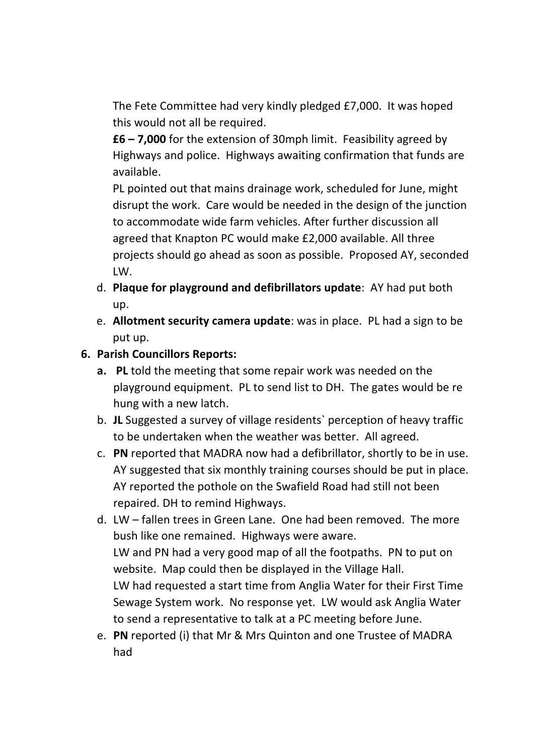The Fete Committee had very kindly pledged £7,000. It was hoped this would not all be required.

**£6 – 7,000** for the extension of 30mph limit. Feasibility agreed by Highways and police. Highways awaiting confirmation that funds are available.

PL pointed out that mains drainage work, scheduled for June, might disrupt the work. Care would be needed in the design of the junction to accommodate wide farm vehicles. After further discussion all agreed that Knapton PC would make £2,000 available. All three projects should go ahead as soon as possible. Proposed AY, seconded LW.

- d. **Plaque for playground and defibrillators update**: AY had put both up.
- e. **Allotment security camera update**: was in place. PL had a sign to be put up.

### **6. Parish Councillors Reports:**

- **a. PL** told the meeting that some repair work was needed on the playground equipment. PL to send list to DH. The gates would be re hung with a new latch.
- b. **JL** Suggested a survey of village residents` perception of heavy traffic to be undertaken when the weather was better. All agreed.
- c. **PN** reported that MADRA now had a defibrillator, shortly to be in use. AY suggested that six monthly training courses should be put in place. AY reported the pothole on the Swafield Road had still not been repaired. DH to remind Highways.
- d. LW fallen trees in Green Lane. One had been removed. The more bush like one remained. Highways were aware. LW and PN had a very good map of all the footpaths. PN to put on website. Map could then be displayed in the Village Hall. LW had requested a start time from Anglia Water for their First Time Sewage System work. No response yet. LW would ask Anglia Water to send a representative to talk at a PC meeting before June.
- e. **PN** reported (i) that Mr & Mrs Quinton and one Trustee of MADRA had